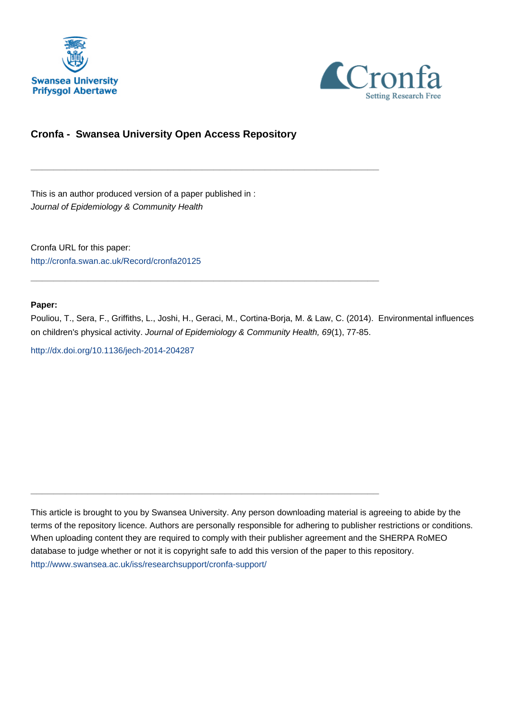



# **Cronfa - Swansea University Open Access Repository**

\_\_\_\_\_\_\_\_\_\_\_\_\_\_\_\_\_\_\_\_\_\_\_\_\_\_\_\_\_\_\_\_\_\_\_\_\_\_\_\_\_\_\_\_\_\_\_\_\_\_\_\_\_\_\_\_\_\_\_\_\_

 $\_$  , and the set of the set of the set of the set of the set of the set of the set of the set of the set of the set of the set of the set of the set of the set of the set of the set of the set of the set of the set of th

 $\_$  , and the set of the set of the set of the set of the set of the set of the set of the set of the set of the set of the set of the set of the set of the set of the set of the set of the set of the set of the set of th

This is an author produced version of a paper published in : Journal of Epidemiology & Community Health

Cronfa URL for this paper: <http://cronfa.swan.ac.uk/Record/cronfa20125>

## **Paper:**

Pouliou, T., Sera, F., Griffiths, L., Joshi, H., Geraci, M., Cortina-Borja, M. & Law, C. (2014). Environmental influences on children's physical activity. Journal of Epidemiology & Community Health, 69(1), 77-85.

<http://dx.doi.org/10.1136/jech-2014-204287>

This article is brought to you by Swansea University. Any person downloading material is agreeing to abide by the terms of the repository licence. Authors are personally responsible for adhering to publisher restrictions or conditions. When uploading content they are required to comply with their publisher agreement and the SHERPA RoMEO database to judge whether or not it is copyright safe to add this version of the paper to this repository. [http://www.swansea.ac.uk/iss/researchsupport/cronfa-support/](http://www.swansea.ac.uk/iss/researchsupport/cronfa-support/ )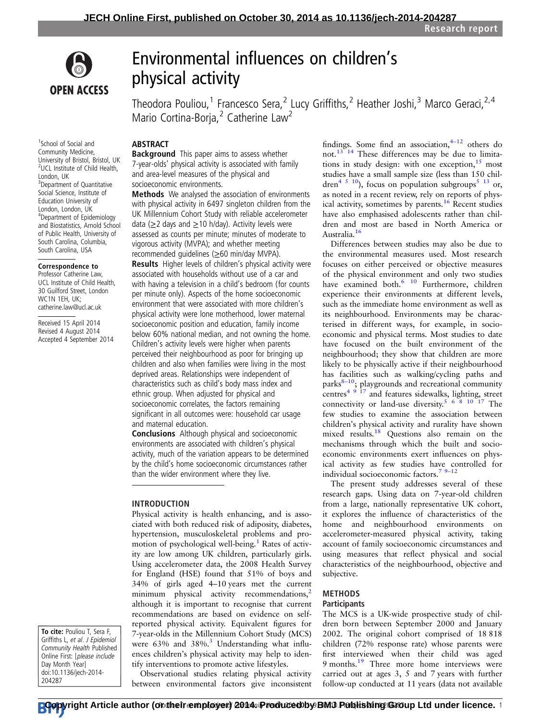

1 School of Social and Community Medicine, University of Bristol, Bristol, UK 2 UCL Institute of Child Health,

<sup>3</sup>Department of Quantitative Social Science, Institute of Education University of London, London, UK 4 Department of Epidemiology and Biostatistics, Arnold School of Public Health, University of South Carolina, Columbia, South Carolina, USA Correspondence to Professor Catherine Law, UCL Institute of Child Health, 30 Guilford Street, London WC1N 1EH, UK; catherine.law@ucl.ac.uk Received 15 April 2014 Revised 4 August 2014 Accepted 4 September 2014

London, UK

# Environmental influences on children' s physical activity

Theodora Pouliou,<sup>1</sup> Francesco Sera,<sup>2</sup> Lucy Griffiths,<sup>2</sup> Heather Joshi,<sup>3</sup> Marco Geraci,<sup>2,4</sup> Mario Cortina-Borja, $^2$  Catherine Law<sup>2</sup>

## ABSTRACT

**Background** This paper aims to assess whether 7-year-olds' physical activity is associated with family and area-level measures of the physical and socioeconomic environments.

Methods We analysed the association of environments with physical activity in 6497 singleton children from the UK Millennium Cohort Study with reliable accelerometer data ( $\geq$ 2 days and  $\geq$ 10 h/day). Activity levels were assessed as counts per minute; minutes of moderate to vigorous activity (MVPA); and whether meeting recommended guidelines (≥60 min/day MVPA).

Results Higher levels of children's physical activity were associated with households without use of a car and with having a television in a child's bedroom (for counts per minute only). Aspects of the home socioeconomic environment that were associated with more children's physical activity were lone motherhood, lower maternal socioeconomic position and education, family income below 60% national median, and not owning the home. Children's activity levels were higher when parents perceived their neighbourhood as poor for bringing up children and also when families were living in the most deprived areas. Relationships were independent of characteristics such as child's body mass index and ethnic group. When adjusted for physical and socioeconomic correlates, the factors remaining significant in all outcomes were: household car usage and maternal education.

Conclusions Although physical and socioeconomic environments are associated with children's physical activity, much of the variation appears to be determined by the child's home socioeconomic circumstances rather than the wider environment where they live.

#### INTRODUCTION

Physical activity is health enhancing, and is associated with both reduced risk of adiposity, diabetes, hypertension, musculoskeletal problems and promotion of psychological well-being.<sup>1</sup> Rates of activity are low among UK children, particularly girls. Using accelerometer data, the 2008 Health Survey for England (HSE) found that 51% of boys and 34% of girls aged 4–10 years met the current minimum physical activity recommendations,<sup>2</sup> although it is important to recognise that current recommendations are based on evidence on selfreported physical activity. Equivalent figures for 7-year-olds in the Millennium Cohort Study (MCS) were  $63\%$  and  $38\%$ .<sup>3</sup> Understanding what influences children's physical activity may help to identify interventions to promote active lifestyles.

Observational studies relating physical activity between environmental factors give inconsistent findings. Some find an association,  $4\overline{12}$  others do not.<sup>13 14</sup> These differences may be due to limitations in study design: with one exception,  $15$  most studies have a small sample size (less than 150 children<sup>4 5 10</sup>), focus on population subgroups<sup>5 13</sup> or, as noted in a recent review, rely on reports of physical activity, sometimes by parents.16 Recent studies have also emphasised adolescents rather than children and most are based in North America or Australia.16

Differences between studies may also be due to the environmental measures used. Most research focuses on either perceived or objective measures of the physical environment and only two studies have examined both.<sup>6</sup> <sup>10</sup> Furthermore, children experience their environments at different levels, such as the immediate home environment as well as its neighbourhood. Environments may be characterised in different ways, for example, in socioeconomic and physical terms. Most studies to date have focused on the built environment of the neighbourhood; they show that children are more likely to be physically active if their neighbourhood has facilities such as walking/cycling paths and parks $8-10$ ; playgrounds and recreational community parks  $\frac{4}{9}$  17 and features sidewalks, lighting, street connectivity or land-use diversity.<sup>5 6 8</sup> <sup>10</sup> <sup>17</sup> The few studies to examine the association between children's physical activity and rurality have shown mixed results.<sup>18</sup> Questions also remain on the mechanisms through which the built and socioeconomic environments exert influences on physical activity as few studies have controlled for individual socioeconomic factors.<sup>7 9–12</sup>

The present study addresses several of these research gaps. Using data on 7-year-old children from a large, nationally representative UK cohort, it explores the influence of characteristics of the home and neighbourhood environments on accelerometer-measured physical activity, taking account of family socioeconomic circumstances and using measures that reflect physical and social characteristics of the neighbourhood, objective and subjective.

## METHODS

#### **Participants**

The MCS is a UK-wide prospective study of children born between September 2000 and January 2002. The original cohort comprised of 18 818 children (72% response rate) whose parents were first interviewed when their child was aged 9 months.<sup>19</sup> Three more home interviews were carried out at ages 3, 5 and 7 years with further follow-up conducted at 11 years (data not available

To cite: Pouliou T, Sera F, Griffiths L, et al. J Epidemiol Community Health Published Online First: [please include Day Month Year] doi:10.1136/jech-2014- 204287

**Ըթp**yright Article author (or their employer) 2014. iProduced հy BMJ Publishing Group Ltd under licence. 1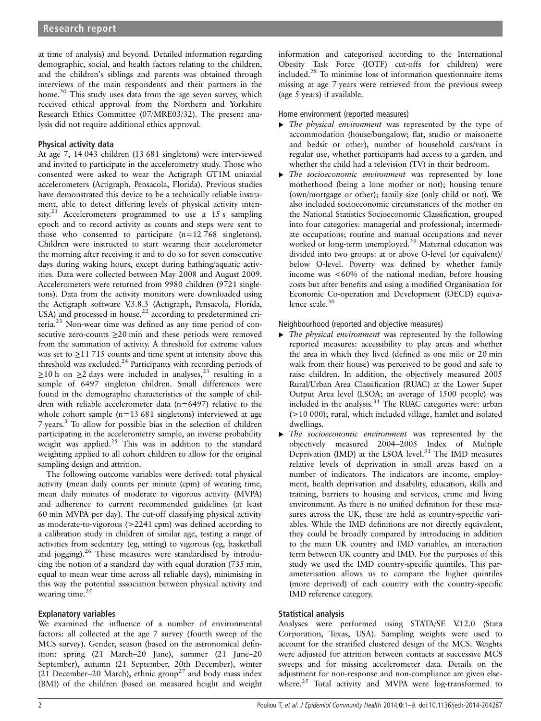at time of analysis) and beyond. Detailed information regarding demographic, social, and health factors relating to the children, and the children's siblings and parents was obtained through interviews of the main respondents and their partners in the home.<sup>20</sup> This study uses data from the age seven survey, which received ethical approval from the Northern and Yorkshire Research Ethics Committee (07/MRE03/32). The present analysis did not require additional ethics approval.

### Physical activity data

At age 7, 14 043 children (13 681 singletons) were interviewed and invited to participate in the accelerometry study. Those who consented were asked to wear the Actigraph GT1M uniaxial accelerometers (Actigraph, Pensacola, Florida). Previous studies have demonstrated this device to be a technically reliable instrument, able to detect differing levels of physical activity intensity.<sup>21</sup> Accelerometers programmed to use a 15 s sampling epoch and to record activity as counts and steps were sent to those who consented to participate (n=12 768 singletons). Children were instructed to start wearing their accelerometer the morning after receiving it and to do so for seven consecutive days during waking hours, except during bathing/aquatic activities. Data were collected between May 2008 and August 2009. Accelerometers were returned from 9980 children (9721 singletons). Data from the activity monitors were downloaded using the Actigraph software V.3.8.3 (Actigraph, Pensacola, Florida, USA) and processed in house, $22$  according to predetermined criteria. $^{23}$  Non-wear time was defined as any time period of consecutive zero-counts ≥20 min and these periods were removed from the summation of activity. A threshold for extreme values was set to  $\geq$ 11 715 counts and time spent at intensity above this threshold was excluded.<sup>24</sup> Participants with recording periods of  $\geq$ 10 h on  $\geq$ 2 days were included in analyses,<sup>23</sup> resulting in a sample of 6497 singleton children. Small differences were found in the demographic characteristics of the sample of children with reliable accelerometer data (n=6497) relative to the whole cohort sample (n=13 681 singletons) interviewed at age 7 years.<sup>3</sup> To allow for possible bias in the selection of children participating in the accelerometry sample, an inverse probability weight was applied.<sup>25</sup> This was in addition to the standard weighting applied to all cohort children to allow for the original sampling design and attrition.

The following outcome variables were derived: total physical activity (mean daily counts per minute (cpm) of wearing time, mean daily minutes of moderate to vigorous activity (MVPA) and adherence to current recommended guidelines (at least 60 min MVPA per day). The cut-off classifying physical activity as moderate-to-vigorous (>2241 cpm) was defined according to a calibration study in children of similar age, testing a range of activities from sedentary (eg, sitting) to vigorous (eg, basketball and jogging).<sup>26</sup> These measures were standardised by introducing the notion of a standard day with equal duration (735 min, equal to mean wear time across all reliable days), minimising in this way the potential association between physical activity and wearing time.<sup>2</sup>

#### Explanatory variables

We examined the influence of a number of environmental factors: all collected at the age 7 survey (fourth sweep of the MCS survey). Gender, season (based on the astronomical definition: spring (21 March–20 June), summer (21 June–20 September), autumn (21 September, 20th December), winter (21 December–20 March), ethnic group<sup>27</sup> and body mass index (BMI) of the children (based on measured height and weight information and categorised according to the International Obesity Task Force (IOTF) cut-offs for children) were included. $^{28}$  To minimise loss of information questionnaire items missing at age 7 years were retrieved from the previous sweep (age 5 years) if available.

Home environment (reported measures)

- ▸ The physical environment was represented by the type of accommodation (house/bungalow; flat, studio or maisonette and bedsit or other), number of household cars/vans in regular use, whether participants had access to a garden, and whether the child had a television (TV) in their bedroom.
- ▶ The socioeconomic environment was represented by lone motherhood (being a lone mother or not); housing tenure (own/mortgage or other); family size (only child or not). We also included socioeconomic circumstances of the mother on the National Statistics Socioeconomic Classification, grouped into four categories: managerial and professional; intermediate occupations; routine and manual occupations and never worked or long-term unemployed.<sup>29</sup> Maternal education was divided into two groups: at or above O-level (or equivalent)/ below O-level. Poverty was defined by whether family income was <60% of the national median, before housing costs but after benefits and using a modified Organisation for Economic Co-operation and Development (OECD) equivalence scale. $30$

#### Neighbourhood (reported and objective measures)

- ▶ The physical environment was represented by the following reported measures: accessibility to play areas and whether the area in which they lived (defined as one mile or 20 min walk from their house) was perceived to be good and safe to raise children. In addition, the objectively measured 2005 Rural/Urban Area Classification (RUAC) at the Lower Super Output Area level (LSOA; an average of 1500 people) was included in the analysis.31 The RUAC categories were: urban (>10 000); rural, which included village, hamlet and isolated dwellings.
- The socioeconomic environment was represented by the objectively measured 2004–2005 Index of Multiple Deprivation (IMD) at the LSOA level. $31$  The IMD measures relative levels of deprivation in small areas based on a number of indicators. The indicators are income, employment, health deprivation and disability, education, skills and training, barriers to housing and services, crime and living environment. As there is no unified definition for these measures across the UK, these are held as country-specific variables. While the IMD definitions are not directly equivalent, they could be broadly compared by introducing in addition to the main UK country and IMD variables, an interaction term between UK country and IMD. For the purposes of this study we used the IMD country-specific quintiles. This parameterisation allows us to compare the higher quintiles (more deprived) of each country with the country-specific IMD reference category.

#### Statistical analysis

Analyses were performed using STATA/SE V.12.0 (Stata Corporation, Texas, USA). Sampling weights were used to account for the stratified clustered design of the MCS. Weights were adjusted for attrition between contacts at successive MCS sweeps and for missing accelerometer data. Details on the adjustment for non-response and non-compliance are given elsewhere. $25$  Total activity and MVPA were log-transformed to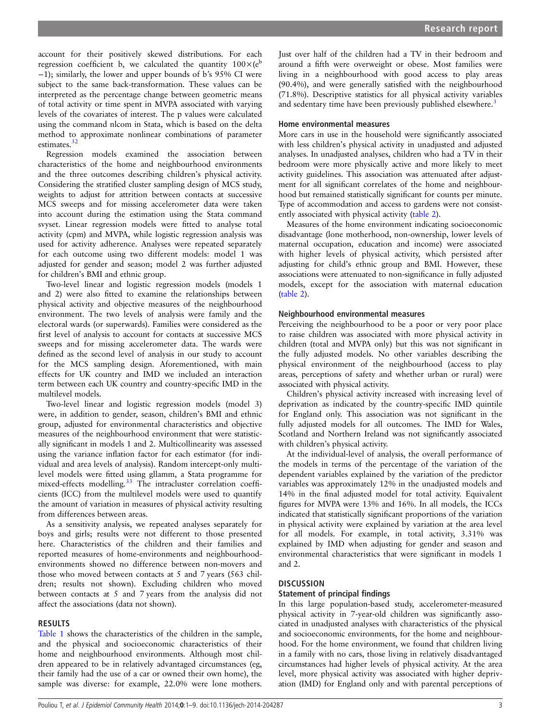account for their positively skewed distributions. For each regression coefficient b, we calculated the quantity  $100\times(e^b)$ −1); similarly, the lower and upper bounds of b's 95% CI were subject to the same back-transformation. These values can be interpreted as the percentage change between geometric means of total activity or time spent in MVPA associated with varying levels of the covariates of interest. The p values were calculated using the command nlcom in Stata, which is based on the delta method to approximate nonlinear combinations of parameter estimates.<sup>32</sup>

Regression models examined the association between characteristics of the home and neighbourhood environments and the three outcomes describing children's physical activity. Considering the stratified cluster sampling design of MCS study, weights to adjust for attrition between contacts at successive MCS sweeps and for missing accelerometer data were taken into account during the estimation using the Stata command svyset. Linear regression models were fitted to analyse total activity (cpm) and MVPA, while logistic regression analysis was used for activity adherence. Analyses were repeated separately for each outcome using two different models: model 1 was adjusted for gender and season; model 2 was further adjusted for children's BMI and ethnic group.

Two-level linear and logistic regression models (models 1 and 2) were also fitted to examine the relationships between physical activity and objective measures of the neighbourhood environment. The two levels of analysis were family and the electoral wards (or superwards). Families were considered as the first level of analysis to account for contacts at successive MCS sweeps and for missing accelerometer data. The wards were defined as the second level of analysis in our study to account for the MCS sampling design. Aforementioned, with main effects for UK country and IMD we included an interaction term between each UK country and country-specific IMD in the multilevel models.

Two-level linear and logistic regression models (model 3) were, in addition to gender, season, children's BMI and ethnic group, adjusted for environmental characteristics and objective measures of the neighbourhood environment that were statistically significant in models 1 and 2. Multicollinearity was assessed using the variance inflation factor for each estimator (for individual and area levels of analysis). Random intercept-only multilevel models were fitted using gllamm, a Stata programme for mixed-effects modelling.<sup>33</sup> The intracluster correlation coefficients (ICC) from the multilevel models were used to quantify the amount of variation in measures of physical activity resulting from differences between areas.

As a sensitivity analysis, we repeated analyses separately for boys and girls; results were not different to those presented here. Characteristics of the children and their families and reported measures of home-environments and neighbourhoodenvironments showed no difference between non-movers and those who moved between contacts at 5 and 7 years (563 children; results not shown). Excluding children who moved between contacts at 5 and 7 years from the analysis did not affect the associations (data not shown).

#### RESULTS

Table 1 shows the characteristics of the children in the sample, and the physical and socioeconomic characteristics of their home and neighbourhood environments. Although most children appeared to be in relatively advantaged circumstances (eg, their family had the use of a car or owned their own home), the sample was diverse: for example, 22.0% were lone mothers.

Just over half of the children had a TV in their bedroom and around a fifth were overweight or obese. Most families were living in a neighbourhood with good access to play areas (90.4%), and were generally satisfied with the neighbourhood (71.8%). Descriptive statistics for all physical activity variables and sedentary time have been previously published elsewhere.<sup>3</sup>

#### Home environmental measures

More cars in use in the household were significantly associated with less children's physical activity in unadjusted and adjusted analyses. In unadjusted analyses, children who had a TV in their bedroom were more physically active and more likely to meet activity guidelines. This association was attenuated after adjustment for all significant correlates of the home and neighbourhood but remained statistically significant for counts per minute. Type of accommodation and access to gardens were not consistently associated with physical activity (table 2).

Measures of the home environment indicating socioeconomic disadvantage (lone motherhood, non-ownership, lower levels of maternal occupation, education and income) were associated with higher levels of physical activity, which persisted after adjusting for child's ethnic group and BMI. However, these associations were attenuated to non-significance in fully adjusted models, except for the association with maternal education (table 2).

#### Neighbourhood environmental measures

Perceiving the neighbourhood to be a poor or very poor place to raise children was associated with more physical activity in children (total and MVPA only) but this was not significant in the fully adjusted models. No other variables describing the physical environment of the neighbourhood (access to play areas, perceptions of safety and whether urban or rural) were associated with physical activity.

Children's physical activity increased with increasing level of deprivation as indicated by the country-specific IMD quintile for England only. This association was not significant in the fully adjusted models for all outcomes. The IMD for Wales, Scotland and Northern Ireland was not significantly associated with children's physical activity.

At the individual-level of analysis, the overall performance of the models in terms of the percentage of the variation of the dependent variables explained by the variation of the predictor variables was approximately 12% in the unadjusted models and 14% in the final adjusted model for total activity. Equivalent figures for MVPA were 13% and 16%. In all models, the ICCs indicated that statistically significant proportions of the variation in physical activity were explained by variation at the area level for all models. For example, in total activity, 3.31% was explained by IMD when adjusting for gender and season and environmental characteristics that were significant in models 1 and 2.

#### **DISCUSSION**

#### Statement of principal findings

In this large population-based study, accelerometer-measured physical activity in 7-year-old children was significantly associated in unadjusted analyses with characteristics of the physical and socioeconomic environments, for the home and neighbourhood. For the home environment, we found that children living in a family with no cars, those living in relatively disadvantaged circumstances had higher levels of physical activity. At the area level, more physical activity was associated with higher deprivation (IMD) for England only and with parental perceptions of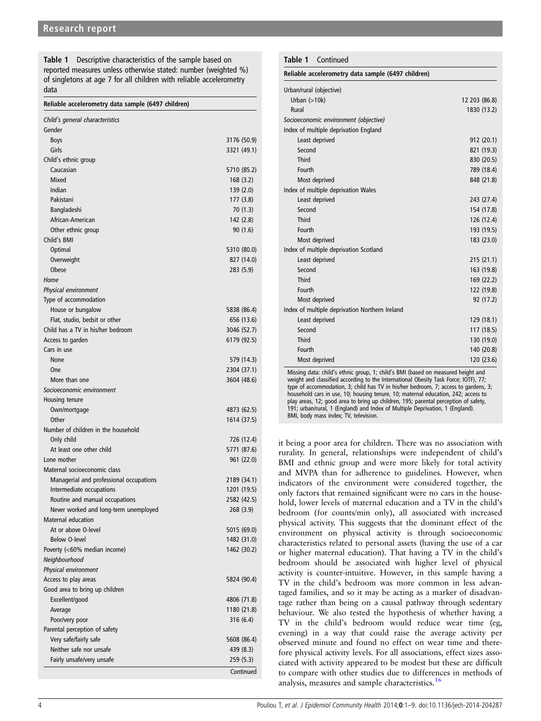Table 1 Descriptive characteristics of the sample based on reported measures unless otherwise stated: number (weighted %) of singletons at age 7 for all children with reliable accelerometry data

| Reliable accelerometry data sample (6497 children) |  |  |  |  |
|----------------------------------------------------|--|--|--|--|
|----------------------------------------------------|--|--|--|--|

| Child's general characteristics         |                         |
|-----------------------------------------|-------------------------|
| Gender                                  |                         |
| <b>Boys</b>                             | 3176 (50.9)             |
| Girls                                   | 3321 (49.1)             |
| Child's ethnic group                    |                         |
| Caucasian                               | 5710 (85.2)             |
| Mixed                                   | 168(3.2)                |
| Indian                                  | 139(2.0)                |
| Pakistani                               | 177 (3.8)               |
| Bangladeshi                             | 70 (1.3)                |
| African-American                        | 142 (2.8)               |
| Other ethnic group<br>Child's BMI       | 90(1.6)                 |
|                                         |                         |
| Optimal                                 | 5310 (80.0)             |
| Overweight<br>Obese                     | 827 (14.0)<br>283 (5.9) |
| Home                                    |                         |
| <b>Physical environment</b>             |                         |
| Type of accommodation                   |                         |
| House or bungalow                       | 5838 (86.4)             |
| Flat, studio, bedsit or other           | 656 (13.6)              |
| Child has a TV in his/her bedroom       | 3046 (52.7)             |
| Access to garden                        | 6179 (92.5)             |
| Cars in use                             |                         |
| None                                    | 579 (14.3)              |
| One                                     | 2304 (37.1)             |
| More than one                           | 3604 (48.6)             |
| Socioeconomic environment               |                         |
| Housing tenure                          |                         |
| Own/mortgage                            | 4873 (62.5)             |
| Other                                   | 1614 (37.5)             |
| Number of children in the household     |                         |
| Only child                              | 726 (12.4)              |
| At least one other child                | 5771 (87.6)             |
| Lone mother                             | 961 (22.0)              |
| Maternal socioeconomic class            |                         |
| Managerial and professional occupations | 2189 (34.1)             |
| Intermediate occupations                | 1201 (19.5)             |
| Routine and manual occupations          | 2582 (42.5)             |
| Never worked and long-term unemployed   | 268 (3.9)               |
| Maternal education                      |                         |
| At or above O-level                     | 5015 (69.0)             |
| <b>Below O-level</b>                    | 1482 (31.0)             |
| Poverty (<60% median income)            | 1462 (30.2)             |
| Neighbourhood                           |                         |
| Physical environment                    |                         |
| Access to play areas                    | 5824 (90.4)             |
| Good area to bring up children          |                         |
| Excellent/good                          | 4806 (71.8)             |
| Average                                 | 1180 (21.8)             |
| Poor/very poor                          | 316 (6.4)               |
| Parental perception of safety           |                         |
| Very safe/fairly safe                   | 5608 (86.4)             |
| Neither safe nor unsafe                 | 439 (8.3)               |
| Fairly unsafe/very unsafe               | 259 (5.3)               |
|                                         | Continued               |

| Urban/rural (objective)                                                                                                                                                                                                                                                                                                                                                                                                                                                                                                                                              |               |
|----------------------------------------------------------------------------------------------------------------------------------------------------------------------------------------------------------------------------------------------------------------------------------------------------------------------------------------------------------------------------------------------------------------------------------------------------------------------------------------------------------------------------------------------------------------------|---------------|
| Urban $(>10k)$                                                                                                                                                                                                                                                                                                                                                                                                                                                                                                                                                       | 12 203 (86.8) |
| Rural                                                                                                                                                                                                                                                                                                                                                                                                                                                                                                                                                                | 1830 (13.2)   |
| Socioeconomic environment (objective)                                                                                                                                                                                                                                                                                                                                                                                                                                                                                                                                |               |
| Index of multiple deprivation England                                                                                                                                                                                                                                                                                                                                                                                                                                                                                                                                |               |
| Least deprived                                                                                                                                                                                                                                                                                                                                                                                                                                                                                                                                                       | 912 (20.1)    |
| Second                                                                                                                                                                                                                                                                                                                                                                                                                                                                                                                                                               | 821 (19.3)    |
| <b>Third</b>                                                                                                                                                                                                                                                                                                                                                                                                                                                                                                                                                         | 830 (20.5)    |
| Fourth                                                                                                                                                                                                                                                                                                                                                                                                                                                                                                                                                               | 789 (18.4)    |
| Most deprived                                                                                                                                                                                                                                                                                                                                                                                                                                                                                                                                                        | 848 (21.8)    |
| Index of multiple deprivation Wales                                                                                                                                                                                                                                                                                                                                                                                                                                                                                                                                  |               |
| Least deprived                                                                                                                                                                                                                                                                                                                                                                                                                                                                                                                                                       | 243 (27.4)    |
| Second                                                                                                                                                                                                                                                                                                                                                                                                                                                                                                                                                               | 154 (17.8)    |
| <b>Third</b>                                                                                                                                                                                                                                                                                                                                                                                                                                                                                                                                                         | 126 (12.4)    |
| Fourth                                                                                                                                                                                                                                                                                                                                                                                                                                                                                                                                                               | 193 (19.5)    |
| Most deprived                                                                                                                                                                                                                                                                                                                                                                                                                                                                                                                                                        | 183 (23.0)    |
| Index of multiple deprivation Scotland                                                                                                                                                                                                                                                                                                                                                                                                                                                                                                                               |               |
| Least deprived                                                                                                                                                                                                                                                                                                                                                                                                                                                                                                                                                       | 215 (21.1)    |
| Second                                                                                                                                                                                                                                                                                                                                                                                                                                                                                                                                                               | 163 (19.8)    |
| <b>Third</b>                                                                                                                                                                                                                                                                                                                                                                                                                                                                                                                                                         | 169 (22.2)    |
| Fourth                                                                                                                                                                                                                                                                                                                                                                                                                                                                                                                                                               | 122 (19.8)    |
| Most deprived                                                                                                                                                                                                                                                                                                                                                                                                                                                                                                                                                        | 92 (17.2)     |
| Index of multiple deprivation Northern Ireland                                                                                                                                                                                                                                                                                                                                                                                                                                                                                                                       |               |
| Least deprived                                                                                                                                                                                                                                                                                                                                                                                                                                                                                                                                                       | 129 (18.1)    |
| Second                                                                                                                                                                                                                                                                                                                                                                                                                                                                                                                                                               | 117 (18.5)    |
| <b>Third</b>                                                                                                                                                                                                                                                                                                                                                                                                                                                                                                                                                         | 130 (19.0)    |
| Fourth                                                                                                                                                                                                                                                                                                                                                                                                                                                                                                                                                               | 140 (20.8)    |
| Most deprived                                                                                                                                                                                                                                                                                                                                                                                                                                                                                                                                                        | 120 (23.6)    |
| Missing data: child's ethnic group, 1; child's BMI (based on measured height and<br>weight and classified according to the International Obesity Task Force; IOTF), 77;<br>type of accommodation, 3; child has TV in his/her bedroom, 7; access to gardens, 3;<br>household cars in use, 10; housing tenure, 10; maternal education, 242; access to<br>play areas, 12; good area to bring up children, 195; parental perception of safety,<br>191; urban/rural, 1 (England) and Index of Multiple Deprivation, 1 (England).<br>BMI, body mass index; TV, television. |               |

Table 1 Continued

Reliable accelerometry data sample (6497 children)

it being a poor area for children. There was no association with rurality. In general, relationships were independent of child's BMI and ethnic group and were more likely for total activity and MVPA than for adherence to guidelines. However, when indicators of the environment were considered together, the only factors that remained significant were no cars in the household, lower levels of maternal education and a TV in the child's bedroom (for counts/min only), all associated with increased physical activity. This suggests that the dominant effect of the environment on physical activity is through socioeconomic characteristics related to personal assets (having the use of a car or higher maternal education). That having a TV in the child's bedroom should be associated with higher level of physical activity is counter-intuitive. However, in this sample having a TV in the child's bedroom was more common in less advantaged families, and so it may be acting as a marker of disadvantage rather than being on a causal pathway through sedentary behaviour. We also tested the hypothesis of whether having a TV in the child's bedroom would reduce wear time (eg, evening) in a way that could raise the average activity per observed minute and found no effect on wear time and therefore physical activity levels. For all associations, effect sizes associated with activity appeared to be modest but these are difficult to compare with other studies due to differences in methods of analysis, measures and sample characteristics.<sup>16</sup>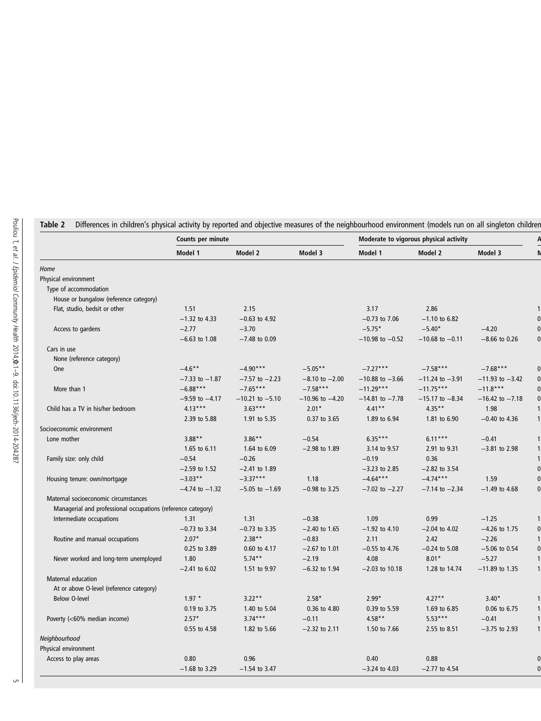|                                                              | Counts per minute       |                           |                            |                          | Moderate to vigorous physical activity |                            |  |
|--------------------------------------------------------------|-------------------------|---------------------------|----------------------------|--------------------------|----------------------------------------|----------------------------|--|
|                                                              | Model 1                 | Model 2                   | Model 3                    | Model 1                  | Model 2                                | Model 3                    |  |
| Home                                                         |                         |                           |                            |                          |                                        |                            |  |
| Physical environment                                         |                         |                           |                            |                          |                                        |                            |  |
| Type of accommodation                                        |                         |                           |                            |                          |                                        |                            |  |
| House or bungalow (reference category)                       |                         |                           |                            |                          |                                        |                            |  |
| Flat, studio, bedsit or other                                | 1.51                    | 2.15                      |                            | 3.17                     | 2.86                                   |                            |  |
|                                                              | $-1.32$ to 4.33         | $-0.63$ to 4.92           |                            | $-0.73$ to $7.06$        | $-1.10$ to 6.82                        |                            |  |
| Access to gardens                                            | $-2.77$                 | $-3.70$                   |                            | $-5.75*$                 | $-5.40*$                               | $-4.20$                    |  |
|                                                              | $-6.63$ to 1.08         | $-7.48$ to 0.09           |                            | $-10.98$ to $-0.52$      | $-10.68$ to $-0.11$                    | $-8.66$ to 0.26            |  |
| Cars in use                                                  |                         |                           |                            |                          |                                        |                            |  |
| None (reference category)                                    |                         |                           |                            |                          |                                        |                            |  |
| One                                                          | $-4.6**$                | $-4.90***$                | $-5.05**$                  | $-7.27***$               | $-7.58***$                             | $-7.68***$                 |  |
|                                                              | $-7.33$ to $-1.87$      | $-7.57$ to $-2.23$        | $-8.10$ to $-2.00$         | $-10.88$ to $-3.66$      | $-11.24$ to $-3.91$                    | $-11.93$ to $-3.42$        |  |
| More than 1                                                  | $-6.88***$              | $-7.65***$                | $-7.58***$                 | $-11.29***$              | $-11.75***$                            | $-11.8***$                 |  |
|                                                              | $-9.59$ to $-4.17$      | $-10.21$ to $-5.10$       | $-10.96$ to $-4.20$        | $-14.81$ to $-7.78$      | $-15.17$ to $-8.34$                    | $-16.42$ to $-7.18$        |  |
| Child has a TV in his/her bedroom                            | $4.13***$               | $3.63***$                 | $2.01*$                    | $4.41***$                | $4.35**$                               | 1.98                       |  |
|                                                              | 2.39 to 5.88            | 1.91 to 5.35              | 0.37 to 3.65               | 1.89 to 6.94             | 1.81 to 6.90                           | $-0.40$ to 4.36            |  |
| Socioeconomic environment                                    |                         |                           |                            |                          |                                        |                            |  |
| Lone mother                                                  | $3.88***$               | $3.86**$                  | $-0.54$                    | $6.35***$                | $6.11***$                              | $-0.41$                    |  |
|                                                              | 1.65 to 6.11            | 1.64 to 6.09              | $-2.98$ to 1.89            | 3.14 to 9.57             | 2.91 to 9.31                           | $-3.81$ to 2.98            |  |
| Family size: only child                                      | $-0.54$                 | $-0.26$                   |                            | $-0.19$                  | 0.36                                   |                            |  |
|                                                              | $-2.59$ to 1.52         | $-2.41$ to 1.89           |                            | $-3.23$ to 2.85          | $-2.82$ to 3.54                        |                            |  |
| Housing tenure: own/mortgage                                 | $-3.03**$               | $-3.37***$                | 1.18                       | $-4.64***$               | $-4.74***$                             | 1.59                       |  |
|                                                              | $-4.74$ to $-1.32$      | $-5.05$ to $-1.69$        | $-0.98$ to 3.25            | $-7.02$ to $-2.27$       | $-7.14$ to $-2.34$                     | $-1.49$ to 4.68            |  |
| Maternal socioeconomic circumstances                         |                         |                           |                            |                          |                                        |                            |  |
| Managerial and professional occupations (reference category) |                         |                           |                            |                          |                                        |                            |  |
| Intermediate occupations                                     | 1.31                    | 1.31                      | $-0.38$                    | 1.09                     | 0.99                                   | $-1.25$                    |  |
|                                                              | $-0.73$ to 3.34         | $-0.73$ to 3.35           | $-2.40$ to 1.65            | $-1.92$ to 4.10          | $-2.04$ to 4.02                        | $-4.26$ to 1.75            |  |
| Routine and manual occupations                               | $2.07*$                 | $2.38**$                  | $-0.83$                    | 2.11                     | 2.42                                   | $-2.26$                    |  |
|                                                              | 0.25 to 3.89            | 0.60 to 4.17              | $-2.67$ to 1.01            | $-0.55$ to 4.76          | $-0.24$ to 5.08                        | $-5.06$ to 0.54            |  |
| Never worked and long-term unemployed                        | 1.80                    | $5.74***$                 | $-2.19$                    | 4.08                     | $8.01*$                                | $-5.27$                    |  |
|                                                              | $-2.41$ to 6.02         | 1.51 to 9.97              | $-6.32$ to 1.94            | $-2.03$ to 10.18         | 1.28 to 14.74                          | $-11.89$ to 1.35           |  |
| Maternal education                                           |                         |                           |                            |                          |                                        |                            |  |
| At or above O-level (reference category)                     |                         | $3.22**$                  |                            |                          | $4.27**$                               |                            |  |
| <b>Below O-level</b>                                         | $1.97 *$                |                           | $2.58*$                    | $2.99*$                  |                                        | $3.40*$                    |  |
|                                                              | 0.19 to 3.75<br>$2.57*$ | 1.40 to 5.04<br>$3.74***$ | 0.36 to 4.80               | 0.39 to 5.59<br>$4.58**$ | 1.69 to 6.85<br>$5.53***$              | 0.06 to 6.75               |  |
| Poverty (<60% median income)                                 | 0.55 to 4.58            | 1.82 to 5.66              | $-0.11$<br>$-2.32$ to 2.11 | 1.50 to 7.66             | 2.55 to 8.51                           | $-0.41$<br>$-3.75$ to 2.93 |  |
| Neighbourhood                                                |                         |                           |                            |                          |                                        |                            |  |
|                                                              |                         |                           |                            |                          |                                        |                            |  |
| Physical environment<br>Access to play areas                 | 0.80                    | 0.96                      |                            | 0.40                     | 0.88                                   |                            |  |
|                                                              | $-1.68$ to 3.29         | $-1.54$ to 3.47           |                            | $-3.24$ to 4.03          | $-2.77$ to 4.54                        |                            |  |
|                                                              |                         |                           |                            |                          |                                        |                            |  |

Table 2 Differences in children's physical activity by reported and objective measures of the neighbourhood environment (models run on all singleton children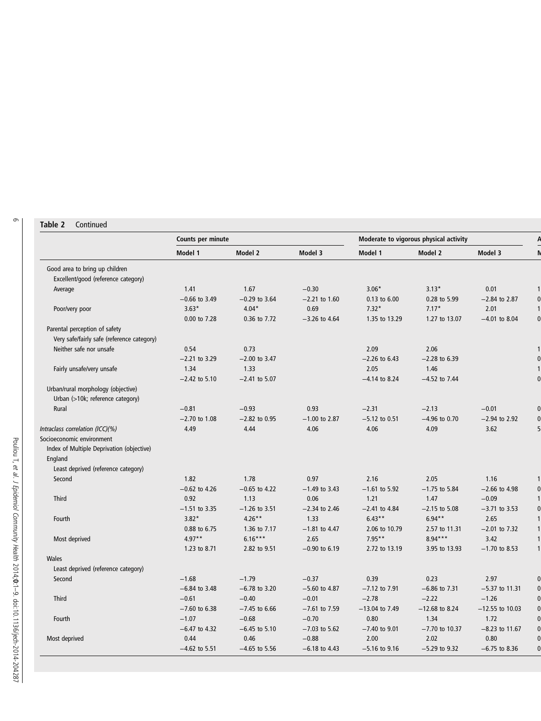# Table 2 Continued

|                                            | Counts per minute |                 |                   | Moderate to vigorous physical activity |                   |                   |
|--------------------------------------------|-------------------|-----------------|-------------------|----------------------------------------|-------------------|-------------------|
|                                            | Model 1           | Model 2         | Model 3           | Model 1                                | Model 2           | Model 3           |
| Good area to bring up children             |                   |                 |                   |                                        |                   |                   |
| Excellent/good (reference category)        |                   |                 |                   |                                        |                   |                   |
| Average                                    | 1.41              | 1.67            | $-0.30$           | $3.06*$                                | $3.13*$           | 0.01              |
|                                            | $-0.66$ to 3.49   | $-0.29$ to 3.64 | $-2.21$ to 1.60   | 0.13 to 6.00                           | 0.28 to 5.99      | $-2.84$ to 2.87   |
| Poor/very poor                             | $3.63*$           | $4.04*$         | 0.69              | $7.32*$                                | $7.17*$           | 2.01              |
|                                            | 0.00 to 7.28      | 0.36 to 7.72    | $-3.26$ to 4.64   | 1.35 to 13.29                          | 1.27 to 13.07     | $-4.01$ to 8.04   |
| Parental perception of safety              |                   |                 |                   |                                        |                   |                   |
| Very safe/fairly safe (reference category) |                   |                 |                   |                                        |                   |                   |
| Neither safe nor unsafe                    | 0.54              | 0.73            |                   | 2.09                                   | 2.06              |                   |
|                                            | $-2.21$ to 3.29   | $-2.00$ to 3.47 |                   | $-2.26$ to 6.43                        | $-2.28$ to 6.39   |                   |
| Fairly unsafe/very unsafe                  | 1.34              | 1.33            |                   | 2.05                                   | 1.46              |                   |
|                                            | $-2.42$ to 5.10   | $-2.41$ to 5.07 |                   | $-4.14$ to 8.24                        | $-4.52$ to $7.44$ |                   |
| Urban/rural morphology (objective)         |                   |                 |                   |                                        |                   |                   |
| Urban (>10k; reference category)           |                   |                 |                   |                                        |                   |                   |
| Rural                                      | $-0.81$           | $-0.93$         | 0.93              | $-2.31$                                | $-2.13$           | $-0.01$           |
|                                            | $-2.70$ to 1.08   | $-2.82$ to 0.95 | $-1.00$ to 2.87   | $-5.12$ to 0.51                        | $-4.96$ to 0.70   | $-2.94$ to 2.92   |
| Intraclass correlation (ICC)(%)            | 4.49              | 4.44            | 4.06              | 4.06                                   | 4.09              | 3.62              |
| Socioeconomic environment                  |                   |                 |                   |                                        |                   |                   |
| Index of Multiple Deprivation (objective)  |                   |                 |                   |                                        |                   |                   |
| England                                    |                   |                 |                   |                                        |                   |                   |
| Least deprived (reference category)        |                   |                 |                   |                                        |                   |                   |
| Second                                     | 1.82              | 1.78            | 0.97              | 2.16                                   | 2.05              | 1.16              |
|                                            | $-0.62$ to 4.26   | $-0.65$ to 4.22 | $-1.49$ to 3.43   | $-1.61$ to 5.92                        | $-1.75$ to 5.84   | $-2.66$ to 4.98   |
| Third                                      | 0.92              | 1.13            | 0.06              | 1.21                                   | 1.47              | $-0.09$           |
|                                            | $-1.51$ to 3.35   | $-1.26$ to 3.51 | $-2.34$ to 2.46   | $-2.41$ to 4.84                        | $-2.15$ to 5.08   | $-3.71$ to 3.53   |
| Fourth                                     | $3.82*$           | $4.26**$        | 1.33              | $6.43**$                               | $6.94**$          | 2.65              |
|                                            | 0.88 to 6.75      | 1.36 to 7.17    | $-1.81$ to 4.47   | 2.06 to 10.79                          | 2.57 to 11.31     | $-2.01$ to $7.32$ |
| Most deprived                              | $4.97**$          | $6.16***$       | 2.65              | $7.95**$                               | $8.94***$         | 3.42              |
|                                            | 1.23 to 8.71      | 2.82 to 9.51    | $-0.90$ to 6.19   | 2.72 to 13.19                          | 3.95 to 13.93     | $-1.70$ to 8.53   |
| Wales                                      |                   |                 |                   |                                        |                   |                   |
| Least deprived (reference category)        |                   |                 |                   |                                        |                   |                   |
| Second                                     | $-1.68$           | $-1.79$         | $-0.37$           | 0.39                                   | 0.23              | 2.97              |
|                                            | $-6.84$ to 3.48   | $-6.78$ to 3.20 | $-5.60$ to 4.87   | $-7.12$ to $7.91$                      | $-6.86$ to $7.31$ | $-5.37$ to 11.31  |
| Third                                      | $-0.61$           | $-0.40$         | $-0.01$           | $-2.78$                                | $-2.22$           | $-1.26$           |
|                                            | $-7.60$ to 6.38   | $-7.45$ to 6.66 | $-7.61$ to $7.59$ | $-13.04$ to 7.49                       | $-12.68$ to 8.24  | $-12.55$ to 10.03 |
| Fourth                                     | $-1.07$           | $-0.68$         | $-0.70$           | 0.80                                   | 1.34              | 1.72              |
|                                            | $-6.47$ to 4.32   | $-6.45$ to 5.10 | $-7.03$ to 5.62   | $-7.40$ to 9.01                        | $-7.70$ to 10.37  | $-8.23$ to 11.67  |
| Most deprived                              | 0.44              | 0.46            | $-0.88$           | 2.00                                   | 2.02              | 0.80              |
|                                            | $-4.62$ to 5.51   | $-4.65$ to 5.56 | $-6.18$ to 4.43   | $-5.16$ to 9.16                        | $-5.29$ to 9.32   | $-6.75$ to 8.36   |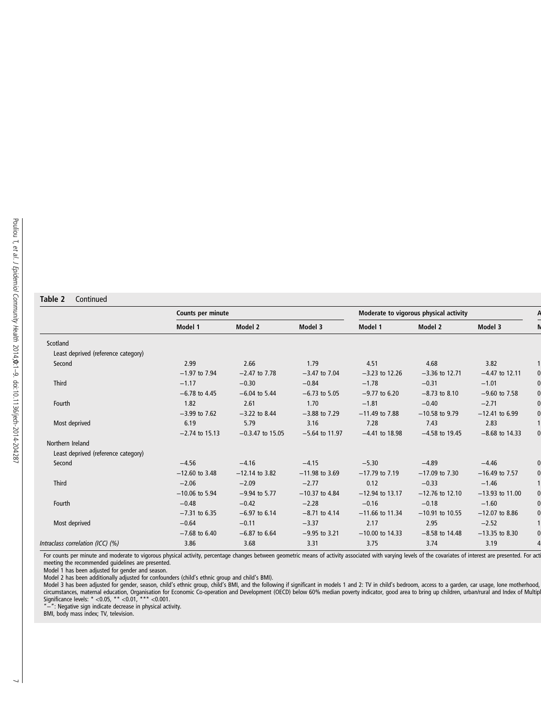# Table 2 Continued

|                                     | Counts per minute |                    |                  | Moderate to vigorous physical activity |                   |                   |  |
|-------------------------------------|-------------------|--------------------|------------------|----------------------------------------|-------------------|-------------------|--|
|                                     | Model 1           | Model 2            | Model 3          | Model 1                                | Model 2           | Model 3           |  |
| Scotland                            |                   |                    |                  |                                        |                   |                   |  |
| Least deprived (reference category) |                   |                    |                  |                                        |                   |                   |  |
| Second                              | 2.99              | 2.66               | 1.79             | 4.51                                   | 4.68              | 3.82              |  |
|                                     | $-1.97$ to 7.94   | $-2.47$ to $7.78$  | $-3.47$ to 7.04  | $-3.23$ to 12.26                       | $-3.36$ to 12.71  | $-4.47$ to 12.11  |  |
| <b>Third</b>                        | $-1.17$           | $-0.30$            | $-0.84$          | $-1.78$                                | $-0.31$           | $-1.01$           |  |
|                                     | $-6.78$ to 4.45   | $-6.04$ to 5.44    | $-6.73$ to 5.05  | $-9.77$ to 6.20                        | $-8.73$ to 8.10   | $-9.60$ to 7.58   |  |
| Fourth                              | 1.82              | 2.61               | 1.70             | $-1.81$                                | $-0.40$           | $-2.71$           |  |
|                                     | $-3.99$ to $7.62$ | $-3.22$ to 8.44    | $-3.88$ to 7.29  | $-11.49$ to 7.88                       | $-10.58$ to 9.79  | $-12.41$ to 6.99  |  |
| Most deprived                       | 6.19              | 5.79               | 3.16             | 7.28                                   | 7.43              | 2.83              |  |
|                                     | $-2.74$ to 15.13  | $-0.3.47$ to 15.05 | $-5.64$ to 11.97 | $-4.41$ to 18.98                       | $-4.58$ to 19.45  | $-8.68$ to 14.33  |  |
| Northern Ireland                    |                   |                    |                  |                                        |                   |                   |  |
| Least deprived (reference category) |                   |                    |                  |                                        |                   |                   |  |
| Second                              | $-4.56$           | $-4.16$            | $-4.15$          | $-5.30$                                | $-4.89$           | $-4.46$           |  |
|                                     | $-12.60$ to 3.48  | $-12.14$ to 3.82   | $-11.98$ to 3.69 | $-17.79$ to $7.19$                     | $-17.09$ to 7.30  | $-16.49$ to 7.57  |  |
| <b>Third</b>                        | $-2.06$           | $-2.09$            | $-2.77$          | 0.12                                   | $-0.33$           | $-1.46$           |  |
|                                     | $-10.06$ to 5.94  | $-9.94$ to 5.77    | $-10.37$ to 4.84 | $-12.94$ to 13.17                      | $-12.76$ to 12.10 | $-13.93$ to 11.00 |  |
| Fourth                              | $-0.48$           | $-0.42$            | $-2.28$          | $-0.16$                                | $-0.18$           | $-1.60$           |  |
|                                     | $-7.31$ to 6.35   | $-6.97$ to 6.14    | $-8.71$ to 4.14  | $-11.66$ to 11.34                      | $-10.91$ to 10.55 | $-12.07$ to 8.86  |  |
| Most deprived                       | $-0.64$           | $-0.11$            | $-3.37$          | 2.17                                   | 2.95              | $-2.52$           |  |
|                                     | $-7.68$ to 6.40   | $-6.87$ to 6.64    | $-9.95$ to 3.21  | $-10.00$ to 14.33                      | $-8.58$ to 14.48  | $-13.35$ to 8.30  |  |
| Intraclass correlation (ICC) (%)    | 3.86              | 3.68               | 3.31             | 3.75                                   | 3.74              | 3.19              |  |

For counts per minute and moderate to vigorous physical activity, percentage changes between geometric means of activity associated with varying levels of the covariates of interest are presented. For act<br>meeting the recom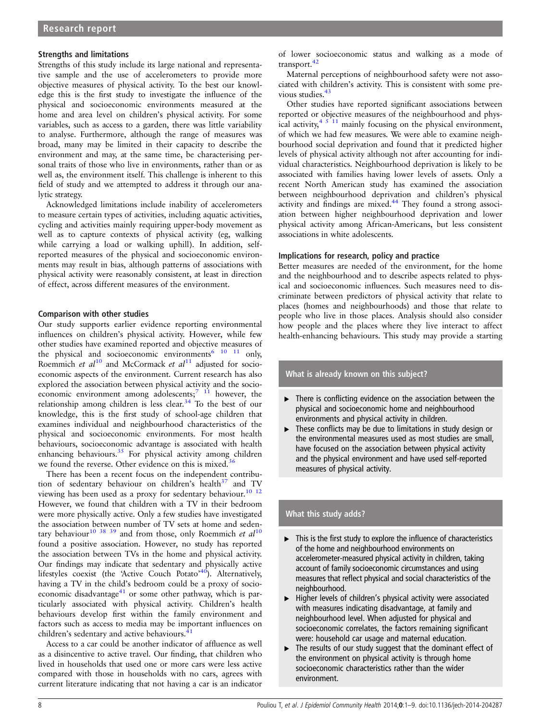#### Strengths and limitations

Strengths of this study include its large national and representative sample and the use of accelerometers to provide more objective measures of physical activity. To the best our knowledge this is the first study to investigate the influence of the physical and socioeconomic environments measured at the home and area level on children's physical activity. For some variables, such as access to a garden, there was little variability to analyse. Furthermore, although the range of measures was broad, many may be limited in their capacity to describe the environment and may, at the same time, be characterising personal traits of those who live in environments, rather than or as well as, the environment itself. This challenge is inherent to this field of study and we attempted to address it through our analytic strategy.

Acknowledged limitations include inability of accelerometers to measure certain types of activities, including aquatic activities, cycling and activities mainly requiring upper-body movement as well as to capture contexts of physical activity (eg, walking while carrying a load or walking uphill). In addition, selfreported measures of the physical and socioeconomic environments may result in bias, although patterns of associations with physical activity were reasonably consistent, at least in direction of effect, across different measures of the environment.

#### Comparison with other studies

Our study supports earlier evidence reporting environmental influences on children's physical activity. However, while few other studies have examined reported and objective measures of the physical and socioeconomic environments<sup>6</sup> <sup>10</sup> <sup>11</sup> only, Roemmich et  $al^{10}$  and McCormack et  $al^{11}$  adjusted for socioeconomic aspects of the environment. Current research has also explored the association between physical activity and the socioeconomic environment among adolescents;  $\frac{1}{2}$  however, the relationship among children is less clear.<sup>34</sup> To the best of our knowledge, this is the first study of school-age children that examines individual and neighbourhood characteristics of the physical and socioeconomic environments. For most health behaviours, socioeconomic advantage is associated with health enhancing behaviours.<sup>35</sup> For physical activity among children we found the reverse. Other evidence on this is mixed.<sup>36</sup>

There has been a recent focus on the independent contribution of sedentary behaviour on children's health $37$  and TV viewing has been used as a proxy for sedentary behaviour.<sup>10</sup><sup>12</sup> However, we found that children with a TV in their bedroom were more physically active. Only a few studies have investigated the association between number of TV sets at home and sedentary behaviour<sup>10 38</sup> <sup>39</sup> and from those, only Roemmich *et al*<sup>10</sup> found a positive association. However, no study has reported the association between TVs in the home and physical activity. Our findings may indicate that sedentary and physically active lifestyles coexist (the 'Active Couch Potato'<sup>40</sup>). Alternatively, having a TV in the child's bedroom could be a proxy of socioeconomic disadvantage $^{41}$  or some other pathway, which is particularly associated with physical activity. Children's health behaviours develop first within the family environment and factors such as access to media may be important influences on children's sedentary and active behaviours.<sup>4</sup>

Access to a car could be another indicator of affluence as well as a disincentive to active travel. Our finding, that children who lived in households that used one or more cars were less active compared with those in households with no cars, agrees with current literature indicating that not having a car is an indicator

of lower socioeconomic status and walking as a mode of transport.<sup>42</sup>

Maternal perceptions of neighbourhood safety were not associated with children's activity. This is consistent with some previous studies.<sup>43</sup>

Other studies have reported significant associations between reported or objective measures of the neighbourhood and physical activity,  $4 \times 11$  mainly focusing on the physical environment, of which we had few measures. We were able to examine neighbourhood social deprivation and found that it predicted higher levels of physical activity although not after accounting for individual characteristics. Neighbourhood deprivation is likely to be associated with families having lower levels of assets. Only a recent North American study has examined the association between neighbourhood deprivation and children's physical activity and findings are mixed.<sup>44</sup> They found a strong association between higher neighbourhood deprivation and lower physical activity among African-Americans, but less consistent associations in white adolescents.

#### Implications for research, policy and practice

Better measures are needed of the environment, for the home and the neighbourhood and to describe aspects related to physical and socioeconomic influences. Such measures need to discriminate between predictors of physical activity that relate to places (homes and neighbourhoods) and those that relate to people who live in those places. Analysis should also consider how people and the places where they live interact to affect health-enhancing behaviours. This study may provide a starting

#### What is already known on this subject?

- ▸ There is conflicting evidence on the association between the physical and socioeconomic home and neighbourhood environments and physical activity in children.
- ▸ These conflicts may be due to limitations in study design or the environmental measures used as most studies are small, have focused on the association between physical activity and the physical environment and have used self-reported measures of physical activity.

#### What this study adds?

- $\blacktriangleright$  This is the first study to explore the influence of characteristics of the home and neighbourhood environments on accelerometer-measured physical activity in children, taking account of family socioeconomic circumstances and using measures that reflect physical and social characteristics of the neighbourhood.
- ▸ Higher levels of children's physical activity were associated with measures indicating disadvantage, at family and neighbourhood level. When adjusted for physical and socioeconomic correlates, the factors remaining significant were: household car usage and maternal education.
- ▸ The results of our study suggest that the dominant effect of the environment on physical activity is through home socioeconomic characteristics rather than the wider environment.